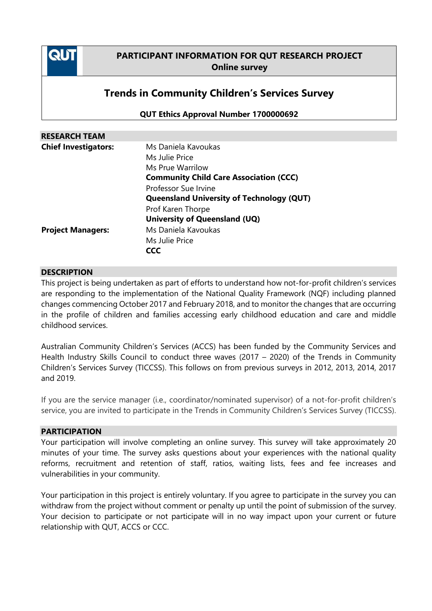

# **PARTICIPANT INFORMATION FOR QUT RESEARCH PROJECT Online survey**

# **Trends in Community Children's Services Survey**

**QUT Ethics Approval Number 1700000692**

| <b>RESEARCH TEAM</b>        |                                                                                                                                |
|-----------------------------|--------------------------------------------------------------------------------------------------------------------------------|
| <b>Chief Investigators:</b> | Ms Daniela Kavoukas<br>Ms Julie Price<br>Ms Prue Warrilow<br><b>Community Child Care Association (CCC)</b>                     |
|                             | Professor Sue Irvine<br><b>Queensland University of Technology (QUT)</b><br>Prof Karen Thorpe<br>University of Queensland (UQ) |
| <b>Project Managers:</b>    | Ms Daniela Kavoukas<br>Ms Julie Price<br><b>CCC</b>                                                                            |

### **DESCRIPTION**

This project is being undertaken as part of efforts to understand how not-for-profit children's services are responding to the implementation of the National Quality Framework (NQF) including planned changes commencing October 2017 and February 2018, and to monitor the changes that are occurring in the profile of children and families accessing early childhood education and care and middle childhood services.

Australian Community Children's Services (ACCS) has been funded by the Community Services and Health Industry Skills Council to conduct three waves (2017 – 2020) of the Trends in Community Children's Services Survey (TICCSS). This follows on from previous surveys in 2012, 2013, 2014, 2017 and 2019.

If you are the service manager (i.e., coordinator/nominated supervisor) of a not-for-profit children's service, you are invited to participate in the Trends in Community Children's Services Survey (TICCSS).

### **PARTICIPATION**

Your participation will involve completing an online survey. This survey will take approximately 20 minutes of your time. The survey asks questions about your experiences with the national quality reforms, recruitment and retention of staff, ratios, waiting lists, fees and fee increases and vulnerabilities in your community.

Your participation in this project is entirely voluntary. If you agree to participate in the survey you can withdraw from the project without comment or penalty up until the point of submission of the survey. Your decision to participate or not participate will in no way impact upon your current or future relationship with QUT, ACCS or CCC.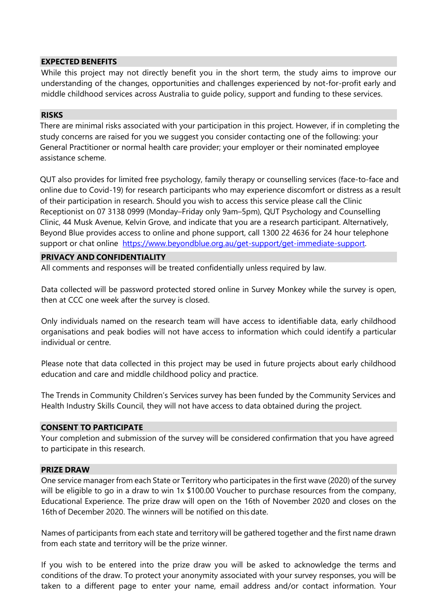### **EXPECTED BENEFITS**

While this project may not directly benefit you in the short term, the study aims to improve our understanding of the changes, opportunities and challenges experienced by not-for-profit early and middle childhood services across Australia to guide policy, support and funding to these services.

# **RISKS**

There are minimal risks associated with your participation in this project. However, if in completing the study concerns are raised for you we suggest you consider contacting one of the following: your General Practitioner or normal health care provider; your employer or their nominated employee assistance scheme.

QUT also provides for limited free psychology, family therapy or counselling services (face-to-face and online due to Covid-19) for research participants who may experience discomfort or distress as a result of their participation in research. Should you wish to access this service please call the Clinic Receptionist on 07 3138 0999 (Monday–Friday only 9am–5pm), QUT Psychology and Counselling Clinic, 44 Musk Avenue, Kelvin Grove, and indicate that you are a research participant. Alternatively, Beyond Blue provides access to online and phone support, call 1300 22 4636 for 24 hour telephone support or chat online [https://www.beyondblue.org.au/get-support/get-immediate-support.](https://www.beyondblue.org.au/get-support/get-immediate-support)

# **PRIVACY AND CONFIDENTIALITY**

All comments and responses will be treated confidentially unless required by law.

Data collected will be password protected stored online in Survey Monkey while the survey is open, then at CCC one week after the survey is closed.

Only individuals named on the research team will have access to identifiable data, early childhood organisations and peak bodies will not have access to information which could identify a particular individual or centre.

Please note that data collected in this project may be used in future projects about early childhood education and care and middle childhood policy and practice.

The Trends in Community Children's Services survey has been funded by the Community Services and Health Industry Skills Council, they will not have access to data obtained during the project.

### **CONSENT TO PARTICIPATE**

Your completion and submission of the survey will be considered confirmation that you have agreed to participate in this research.

### **PRIZE DRAW**

One service manager from each State or Territory who participates in the first wave (2020) of the survey will be eligible to go in a draw to win 1x \$100.00 Voucher to purchase resources from the company, Educational Experience. The prize draw will open on the 16th of November 2020 and closes on the 16th of December 2020. The winners will be notified on this date.

Names of participants from each state and territory will be gathered together and the first name drawn from each state and territory will be the prize winner.

If you wish to be entered into the prize draw you will be asked to acknowledge the terms and conditions of the draw. To protect your anonymity associated with your survey responses, you will be taken to a different page to enter your name, email address and/or contact information. Your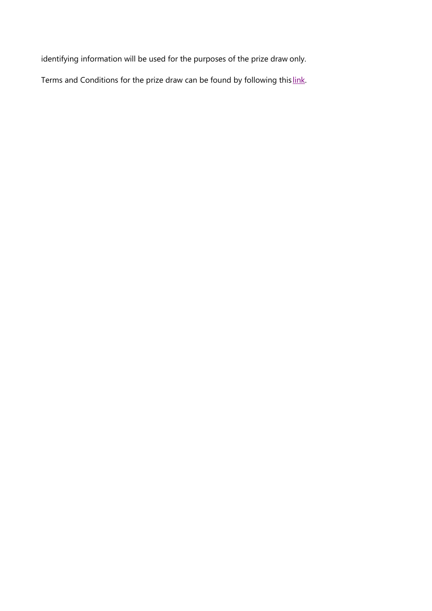identifying information will be used for the purposes of the prize draw only.

Terms and Conditions for the prize draw can be found by following this [link.](http://ausccs.org.au/wp-content/uploads/2017/08/TICCSS_TC.pdf)